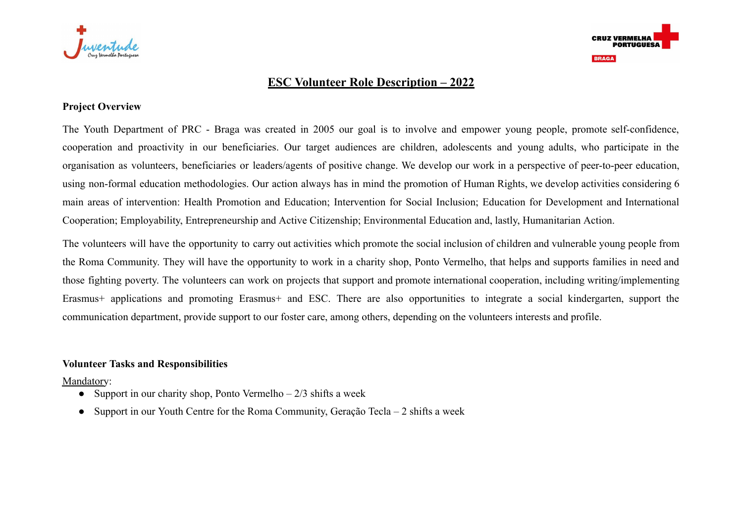



# **ESC Volunteer Role Description – 2022**

## **Project Overview**

The Youth Department of PRC - Braga was created in 2005 our goal is to involve and empower young people, promote self-confidence, cooperation and proactivity in our beneficiaries. Our target audiences are children, adolescents and young adults, who participate in the organisation as volunteers, beneficiaries or leaders/agents of positive change. We develop our work in a perspective of peer-to-peer education, using non-formal education methodologies. Our action always has in mind the promotion of Human Rights, we develop activities considering 6 main areas of intervention: Health Promotion and Education; Intervention for Social Inclusion; Education for Development and International Cooperation; Employability, Entrepreneurship and Active Citizenship; Environmental Education and, lastly, Humanitarian Action.

The volunteers will have the opportunity to carry out activities which promote the social inclusion of children and vulnerable young people from the Roma Community. They will have the opportunity to work in a charity shop, Ponto Vermelho, that helps and supports families in need and those fighting poverty. The volunteers can work on projects that support and promote international cooperation, including writing/implementing Erasmus+ applications and promoting Erasmus+ and ESC. There are also opportunities to integrate a social kindergarten, support the communication department, provide support to our foster care, among others, depending on the volunteers interests and profile.

### **Volunteer Tasks and Responsibilities**

Mandatory:

- Support in our charity shop, Ponto Vermelho  $-2/3$  shifts a week
- Support in our Youth Centre for the Roma Community, Geração Tecla 2 shifts a week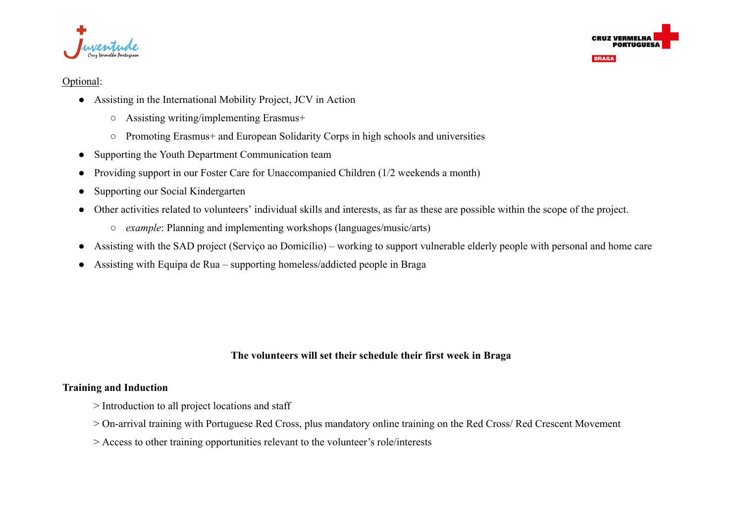



**BRAGA** 

#### Optional:

- Assisting in the International Mobility Project, JCV in Action
	- Assisting writing/implementing Erasmus+
	- Promoting Erasmus+ and European Solidarity Corps in high schools and universities
- Supporting the Youth Department Communication team
- Providing support in our Foster Care for Unaccompanied Children (1/2 weekends a month)
- Supporting our Social Kindergarten
- Other activities related to volunteers' individual skills and interests, as far as these are possible within the scope of the project.
	- *example*: Planning and implementing workshops (languages/music/arts)
- Assisting with the SAD project (Serviço ao Domicílio) working to support vulnerable elderly people with personal and home care
- Assisting with Equipa de Rua supporting homeless/addicted people in Braga

## **The volunteers will set their schedule their first week in Braga**

## **Training and Induction**

- > Introduction to all project locations and staff
- > On-arrival training with Portuguese Red Cross, plus mandatory online training on the Red Cross/ Red Crescent Movement
- > Access to other training opportunities relevant to the volunteer's role/interests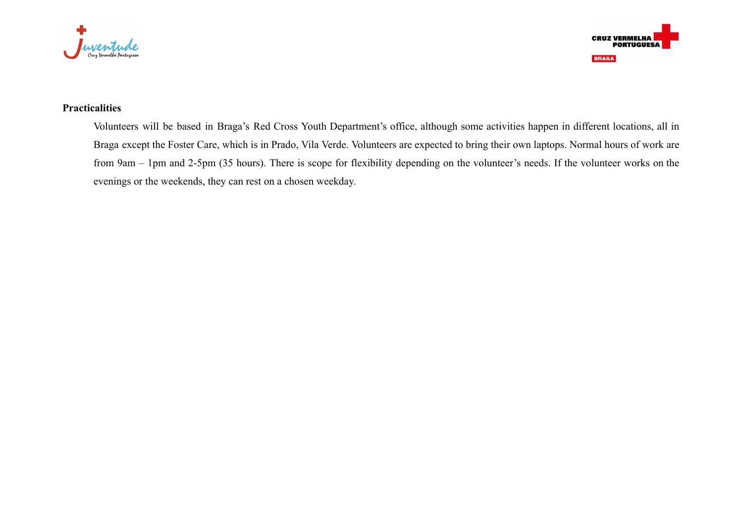



# **Practicalities**

Volunteers will be based in Braga's Red Cross Youth Department's office, although some activities happen in different locations, all in Braga except the Foster Care, which is in Prado, Vila Verde. Volunteers are expected to bring their own laptops. Normal hours of work are from 9am – 1pm and 2-5pm (35 hours). There is scope for flexibility depending on the volunteer's needs. If the volunteer works on the evenings or the weekends, they can rest on a chosen weekday.